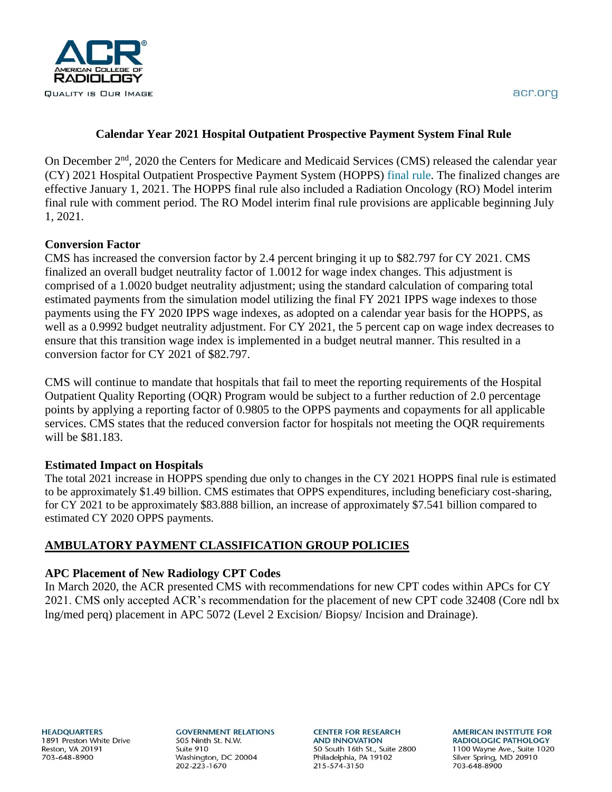

# **Calendar Year 2021 Hospital Outpatient Prospective Payment System Final Rule**

On December 2<sup>nd</sup>, 2020 the Centers for Medicare and Medicaid Services (CMS) released the calendar year (CY) 2021 Hospital Outpatient Prospective Payment System (HOPPS) [final rule.](https://www.cms.gov/files/document/12220-opps-final-rule-cms-1736-fc.pdf) The finalized changes are effective January 1, 2021. The HOPPS final rule also included a Radiation Oncology (RO) Model interim final rule with comment period. The RO Model interim final rule provisions are applicable beginning July 1, 2021.

# **Conversion Factor**

CMS has increased the conversion factor by 2.4 percent bringing it up to \$82.797 for CY 2021. CMS finalized an overall budget neutrality factor of 1.0012 for wage index changes. This adjustment is comprised of a 1.0020 budget neutrality adjustment; using the standard calculation of comparing total estimated payments from the simulation model utilizing the final FY 2021 IPPS wage indexes to those payments using the FY 2020 IPPS wage indexes, as adopted on a calendar year basis for the HOPPS, as well as a 0.9992 budget neutrality adjustment. For CY 2021, the 5 percent cap on wage index decreases to ensure that this transition wage index is implemented in a budget neutral manner. This resulted in a conversion factor for CY 2021 of \$82.797.

CMS will continue to mandate that hospitals that fail to meet the reporting requirements of the Hospital Outpatient Quality Reporting (OQR) Program would be subject to a further reduction of 2.0 percentage points by applying a reporting factor of 0.9805 to the OPPS payments and copayments for all applicable services. CMS states that the reduced conversion factor for hospitals not meeting the OQR requirements will be \$81.183.

# **Estimated Impact on Hospitals**

The total 2021 increase in HOPPS spending due only to changes in the CY 2021 HOPPS final rule is estimated to be approximately \$1.49 billion. CMS estimates that OPPS expenditures, including beneficiary cost-sharing, for CY 2021 to be approximately \$83.888 billion, an increase of approximately \$7.541 billion compared to estimated CY 2020 OPPS payments.

# **AMBULATORY PAYMENT CLASSIFICATION GROUP POLICIES**

# **APC Placement of New Radiology CPT Codes**

In March 2020, the ACR presented CMS with recommendations for new CPT codes within APCs for CY 2021. CMS only accepted ACR's recommendation for the placement of new CPT code 32408 (Core ndl bx lng/med perq) placement in APC 5072 (Level 2 Excision/ Biopsy/ Incision and Drainage).

**HEADQUARTERS** 1891 Preston White Drive Reston, VA 20191 703-648-8900

**GOVERNMENT RELATIONS** 505 Ninth St. N.W. Suite 910 Washington, DC 20004 202-223-1670

**CENTER FOR RESEARCH AND INNOVATION** 50 South 16th St., Suite 2800 Philadelphia, PA 19102 215-574-3150

**AMERICAN INSTITUTE FOR RADIOLOGIC PATHOLOGY** 1100 Wayne Ave., Suite 1020 Silver Spring, MD 20910 703-648-8900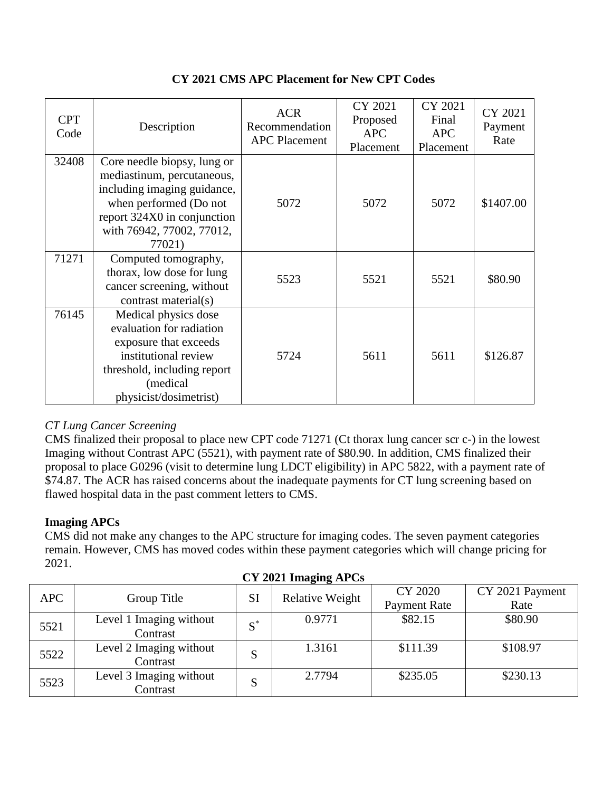| <b>CPT</b><br>Code | Description                                                                                                                                                                              | <b>ACR</b><br>Recommendation<br><b>APC Placement</b> | CY 2021<br>Proposed<br><b>APC</b><br>Placement | CY 2021<br>Final<br><b>APC</b><br>Placement | CY 2021<br>Payment<br>Rate |
|--------------------|------------------------------------------------------------------------------------------------------------------------------------------------------------------------------------------|------------------------------------------------------|------------------------------------------------|---------------------------------------------|----------------------------|
| 32408              | Core needle biopsy, lung or<br>mediastinum, percutaneous,<br>including imaging guidance,<br>when performed (Do not<br>report 324X0 in conjunction<br>with 76942, 77002, 77012,<br>77021) | 5072                                                 | 5072                                           | 5072                                        | \$1407.00                  |
| 71271              | Computed tomography,<br>thorax, low dose for lung<br>cancer screening, without<br>contrast material(s)                                                                                   | 5523                                                 | 5521                                           | 5521                                        | \$80.90                    |
| 76145              | Medical physics dose<br>evaluation for radiation<br>exposure that exceeds<br>institutional review<br>threshold, including report<br>(medical<br>physicist/dosimetrist)                   | 5724                                                 | 5611                                           | 5611                                        | \$126.87                   |

# **CY 2021 CMS APC Placement for New CPT Codes**

# *CT Lung Cancer Screening*

CMS finalized their proposal to place new CPT code 71271 (Ct thorax lung cancer scr c-) in the lowest Imaging without Contrast APC (5521), with payment rate of \$80.90. In addition, CMS finalized their proposal to place G0296 (visit to determine lung LDCT eligibility) in APC 5822, with a payment rate of \$74.87. The ACR has raised concerns about the inadequate payments for CT lung screening based on flawed hospital data in the past comment letters to CMS.

# **Imaging APCs**

CMS did not make any changes to the APC structure for imaging codes. The seven payment categories remain. However, CMS has moved codes within these payment categories which will change pricing for 2021.

| <b>APC</b> | Group Title             | <b>SI</b> | Relative Weight | <b>CY 2020</b>      | CY 2021 Payment |  |
|------------|-------------------------|-----------|-----------------|---------------------|-----------------|--|
|            |                         |           |                 | <b>Payment Rate</b> | Rate            |  |
|            | Level 1 Imaging without | $S^*$     | 0.9771          | \$82.15             | \$80.90         |  |
| 5521       | Contrast                |           |                 |                     |                 |  |
| 5522       | Level 2 Imaging without | S         | 1.3161          | \$111.39            | \$108.97        |  |
|            | Contrast                |           |                 |                     |                 |  |
| 5523       | Level 3 Imaging without | S         | 2.7794          | \$235.05            | \$230.13        |  |
|            | Contrast                |           |                 |                     |                 |  |

**CY 2021 Imaging APCs**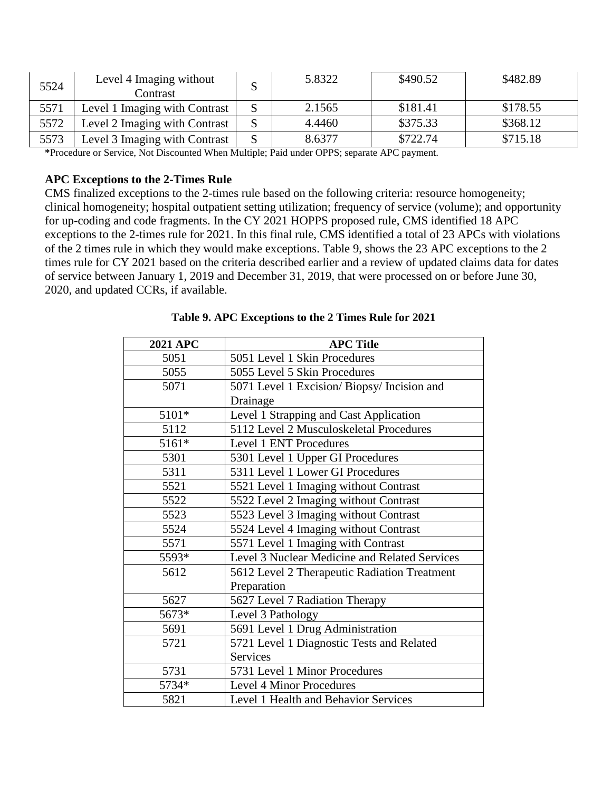| 5524 | Level 4 Imaging without<br>Contrast | S | 5.8322 | \$490.52 | \$482.89 |
|------|-------------------------------------|---|--------|----------|----------|
| 5571 | Level 1 Imaging with Contrast       |   | 2.1565 | \$181.41 | \$178.55 |
| 5572 | Level 2 Imaging with Contrast       |   | 4.4460 | \$375.33 | \$368.12 |
| 5573 | Level 3 Imaging with Contrast       | S | 8.6377 | \$722.74 | \$715.18 |

**\***Procedure or Service, Not Discounted When Multiple; Paid under OPPS; separate APC payment.

#### **APC Exceptions to the 2-Times Rule**

CMS finalized exceptions to the 2-times rule based on the following criteria: resource homogeneity; clinical homogeneity; hospital outpatient setting utilization; frequency of service (volume); and opportunity for up-coding and code fragments. In the CY 2021 HOPPS proposed rule, CMS identified 18 APC exceptions to the 2-times rule for 2021. In this final rule, CMS identified a total of 23 APCs with violations of the 2 times rule in which they would make exceptions. Table 9, shows the 23 APC exceptions to the 2 times rule for CY 2021 based on the criteria described earlier and a review of updated claims data for dates of service between January 1, 2019 and December 31, 2019, that were processed on or before June 30, 2020, and updated CCRs, if available.

| <b>2021 APC</b> | <b>APC Title</b>                              |
|-----------------|-----------------------------------------------|
| 5051            | 5051 Level 1 Skin Procedures                  |
| 5055            | 5055 Level 5 Skin Procedures                  |
| 5071            | 5071 Level 1 Excision/ Biopsy/ Incision and   |
|                 | Drainage                                      |
| 5101*           | Level 1 Strapping and Cast Application        |
| 5112            | 5112 Level 2 Musculoskeletal Procedures       |
| 5161*           | Level 1 ENT Procedures                        |
| 5301            | 5301 Level 1 Upper GI Procedures              |
| 5311            | 5311 Level 1 Lower GI Procedures              |
| 5521            | 5521 Level 1 Imaging without Contrast         |
| 5522            | 5522 Level 2 Imaging without Contrast         |
| 5523            | 5523 Level 3 Imaging without Contrast         |
| 5524            | 5524 Level 4 Imaging without Contrast         |
| 5571            | 5571 Level 1 Imaging with Contrast            |
| 5593*           | Level 3 Nuclear Medicine and Related Services |
| 5612            | 5612 Level 2 Therapeutic Radiation Treatment  |
|                 | Preparation                                   |
| 5627            | 5627 Level 7 Radiation Therapy                |
| 5673*           | Level 3 Pathology                             |
| 5691            | 5691 Level 1 Drug Administration              |
| 5721            | 5721 Level 1 Diagnostic Tests and Related     |
|                 | <b>Services</b>                               |
| 5731            | 5731 Level 1 Minor Procedures                 |
| 5734*           | <b>Level 4 Minor Procedures</b>               |
| 5821            | Level 1 Health and Behavior Services          |

**Table 9. APC Exceptions to the 2 Times Rule for 2021**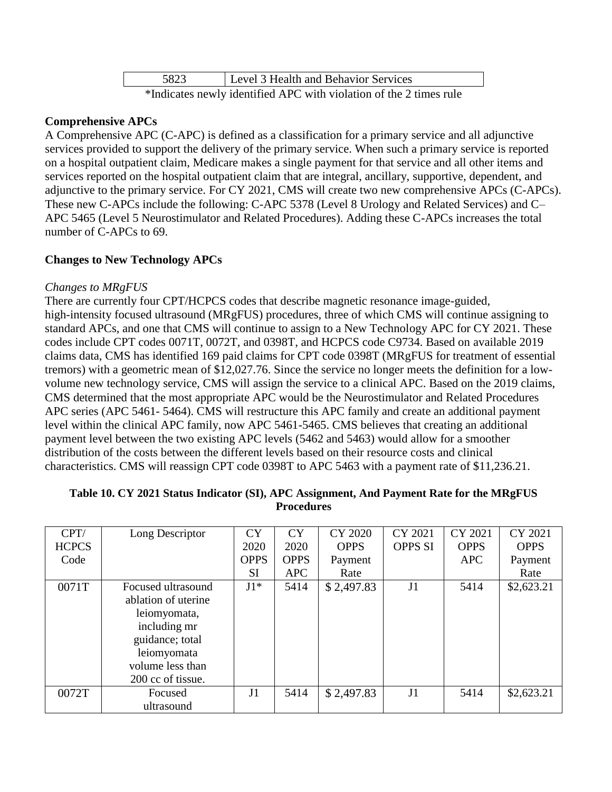| 5823 | Level 3 Health and Behavior Services                               |
|------|--------------------------------------------------------------------|
|      | *Indicates newly identified APC with violation of the 2 times rule |

### **Comprehensive APCs**

A Comprehensive APC (C-APC) is defined as a classification for a primary service and all adjunctive services provided to support the delivery of the primary service. When such a primary service is reported on a hospital outpatient claim, Medicare makes a single payment for that service and all other items and services reported on the hospital outpatient claim that are integral, ancillary, supportive, dependent, and adjunctive to the primary service. For CY 2021, CMS will create two new comprehensive APCs (C-APCs). These new C-APCs include the following: C-APC 5378 (Level 8 Urology and Related Services) and C– APC 5465 (Level 5 Neurostimulator and Related Procedures). Adding these C-APCs increases the total number of C-APCs to 69.

### **Changes to New Technology APCs**

### *Changes to MRgFUS*

There are currently four CPT/HCPCS codes that describe magnetic resonance image-guided, high-intensity focused ultrasound (MRgFUS) procedures, three of which CMS will continue assigning to standard APCs, and one that CMS will continue to assign to a New Technology APC for CY 2021. These codes include CPT codes 0071T, 0072T, and 0398T, and HCPCS code C9734. Based on available 2019 claims data, CMS has identified 169 paid claims for CPT code 0398T (MRgFUS for treatment of essential tremors) with a geometric mean of \$12,027.76. Since the service no longer meets the definition for a lowvolume new technology service, CMS will assign the service to a clinical APC. Based on the 2019 claims, CMS determined that the most appropriate APC would be the Neurostimulator and Related Procedures APC series (APC 5461- 5464). CMS will restructure this APC family and create an additional payment level within the clinical APC family, now APC 5461-5465. CMS believes that creating an additional payment level between the two existing APC levels (5462 and 5463) would allow for a smoother distribution of the costs between the different levels based on their resource costs and clinical characteristics. CMS will reassign CPT code 0398T to APC 5463 with a payment rate of \$11,236.21.

| CPT/         | Long Descriptor     | <b>CY</b>      | <b>CY</b>   | CY 2020     | CY 2021        | CY 2021     | CY 2021     |
|--------------|---------------------|----------------|-------------|-------------|----------------|-------------|-------------|
| <b>HCPCS</b> |                     | 2020           | 2020        | <b>OPPS</b> | <b>OPPS SI</b> | <b>OPPS</b> | <b>OPPS</b> |
| Code         |                     | <b>OPPS</b>    | <b>OPPS</b> | Payment     |                | <b>APC</b>  | Payment     |
|              |                     | <b>SI</b>      | <b>APC</b>  | Rate        |                |             | Rate        |
| 0071T        | Focused ultrasound  | $J1*$          | 5414        | \$2,497.83  | J1             | 5414        | \$2,623.21  |
|              | ablation of uterine |                |             |             |                |             |             |
|              | leiomyomata,        |                |             |             |                |             |             |
|              | including mr        |                |             |             |                |             |             |
|              | guidance; total     |                |             |             |                |             |             |
|              | leiomyomata         |                |             |             |                |             |             |
|              | volume less than    |                |             |             |                |             |             |
|              | 200 cc of tissue.   |                |             |             |                |             |             |
| 0072T        | Focused             | J <sub>1</sub> | 5414        | \$2,497.83  | J1             | 5414        | \$2,623.21  |
|              | ultrasound          |                |             |             |                |             |             |

#### **Table 10. CY 2021 Status Indicator (SI), APC Assignment, And Payment Rate for the MRgFUS Procedures**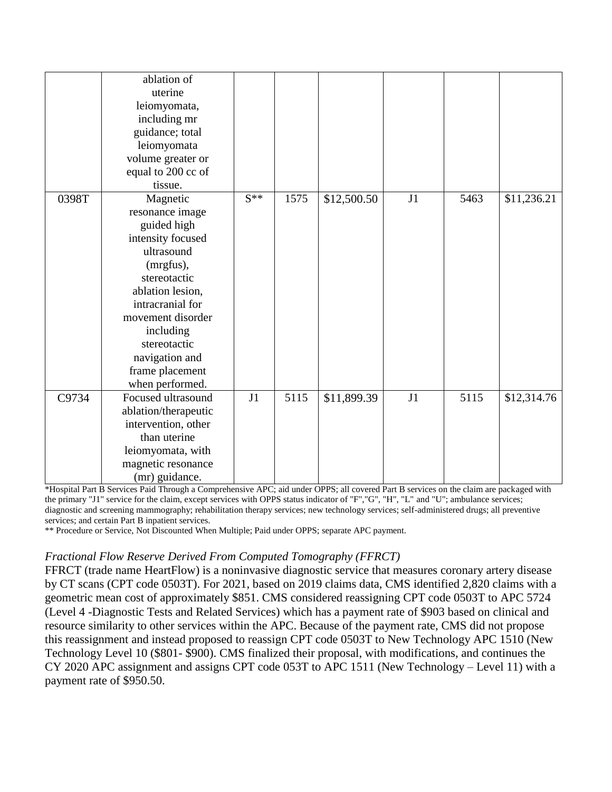|       | ablation of<br>uterine<br>leiomyomata,<br>including mr<br>guidance; total<br>leiomyomata<br>volume greater or<br>equal to 200 cc of<br>tissue.                                                                                                               |          |      |             |    |      |             |
|-------|--------------------------------------------------------------------------------------------------------------------------------------------------------------------------------------------------------------------------------------------------------------|----------|------|-------------|----|------|-------------|
| 0398T | Magnetic<br>resonance image<br>guided high<br>intensity focused<br>ultrasound<br>(mrgfus),<br>stereotactic<br>ablation lesion,<br>intracranial for<br>movement disorder<br>including<br>stereotactic<br>navigation and<br>frame placement<br>when performed. | $S^{**}$ | 1575 | \$12,500.50 | J1 | 5463 | \$11,236.21 |
| C9734 | Focused ultrasound<br>ablation/therapeutic<br>intervention, other<br>than uterine<br>leiomyomata, with<br>magnetic resonance<br>(mr) guidance.                                                                                                               | J1       | 5115 | \$11,899.39 | J1 | 5115 | \$12,314.76 |

\*Hospital Part B Services Paid Through a Comprehensive APC; aid under OPPS; all covered Part B services on the claim are packaged with the primary "J1" service for the claim, except services with OPPS status indicator of "F","G", "H", "L" and "U"; ambulance services; diagnostic and screening mammography; rehabilitation therapy services; new technology services; self-administered drugs; all preventive services; and certain Part B inpatient services.

\*\* Procedure or Service, Not Discounted When Multiple; Paid under OPPS; separate APC payment.

#### *Fractional Flow Reserve Derived From Computed Tomography (FFRCT)*

FFRCT (trade name HeartFlow) is a noninvasive diagnostic service that measures coronary artery disease by CT scans (CPT code 0503T). For 2021, based on 2019 claims data, CMS identified 2,820 claims with a geometric mean cost of approximately \$851. CMS considered reassigning CPT code 0503T to APC 5724 (Level 4 -Diagnostic Tests and Related Services) which has a payment rate of \$903 based on clinical and resource similarity to other services within the APC. Because of the payment rate, CMS did not propose this reassignment and instead proposed to reassign CPT code 0503T to New Technology APC 1510 (New Technology Level 10 (\$801- \$900). CMS finalized their proposal, with modifications, and continues the CY 2020 APC assignment and assigns CPT code 053T to APC 1511 (New Technology – Level 11) with a payment rate of \$950.50.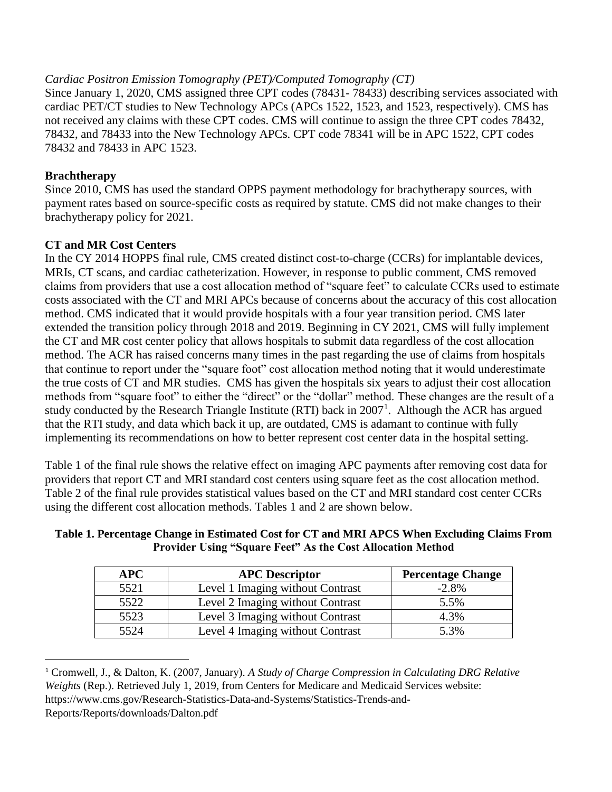# *Cardiac Positron Emission Tomography (PET)/Computed Tomography (CT)*

Since January 1, 2020, CMS assigned three CPT codes (78431- 78433) describing services associated with cardiac PET/CT studies to New Technology APCs (APCs 1522, 1523, and 1523, respectively). CMS has not received any claims with these CPT codes. CMS will continue to assign the three CPT codes 78432, 78432, and 78433 into the New Technology APCs. CPT code 78341 will be in APC 1522, CPT codes 78432 and 78433 in APC 1523.

# **Brachtherapy**

 $\overline{a}$ 

Since 2010, CMS has used the standard OPPS payment methodology for brachytherapy sources, with payment rates based on source-specific costs as required by statute. CMS did not make changes to their brachytherapy policy for 2021.

# **CT and MR Cost Centers**

In the CY 2014 HOPPS final rule, CMS created distinct cost-to-charge (CCRs) for implantable devices, MRIs, CT scans, and cardiac catheterization. However, in response to public comment, CMS removed claims from providers that use a cost allocation method of "square feet" to calculate CCRs used to estimate costs associated with the CT and MRI APCs because of concerns about the accuracy of this cost allocation method. CMS indicated that it would provide hospitals with a four year transition period. CMS later extended the transition policy through 2018 and 2019. Beginning in CY 2021, CMS will fully implement the CT and MR cost center policy that allows hospitals to submit data regardless of the cost allocation method. The ACR has raised concerns many times in the past regarding the use of claims from hospitals that continue to report under the "square foot" cost allocation method noting that it would underestimate the true costs of CT and MR studies. CMS has given the hospitals six years to adjust their cost allocation methods from "square foot" to either the "direct" or the "dollar" method. These changes are the result of a study conducted by the Research Triangle Institute (RTI) back in  $2007<sup>1</sup>$ . Although the ACR has argued that the RTI study, and data which back it up, are outdated, CMS is adamant to continue with fully implementing its recommendations on how to better represent cost center data in the hospital setting.

Table 1 of the final rule shows the relative effect on imaging APC payments after removing cost data for providers that report CT and MRI standard cost centers using square feet as the cost allocation method. Table 2 of the final rule provides statistical values based on the CT and MRI standard cost center CCRs using the different cost allocation methods. Tables 1 and 2 are shown below.

| Table 1. Percentage Change in Estimated Cost for CT and MRI APCS When Excluding Claims From |
|---------------------------------------------------------------------------------------------|
| <b>Provider Using "Square Feet" As the Cost Allocation Method</b>                           |

| <b>APC</b> | <b>APC</b> Descriptor            | <b>Percentage Change</b> |
|------------|----------------------------------|--------------------------|
| 5521       | Level 1 Imaging without Contrast | $-2.8\%$                 |
| 5522       | Level 2 Imaging without Contrast | 5.5%                     |
| 5523       | Level 3 Imaging without Contrast | 4.3%                     |
| 5524       | Level 4 Imaging without Contrast | 5.3%                     |

<sup>1</sup> Cromwell, J., & Dalton, K. (2007, January). *A Study of Charge Compression in Calculating DRG Relative Weights* (Rep.). Retrieved July 1, 2019, from Centers for Medicare and Medicaid Services website: https://www.cms.gov/Research-Statistics-Data-and-Systems/Statistics-Trends-and-Reports/Reports/downloads/Dalton.pdf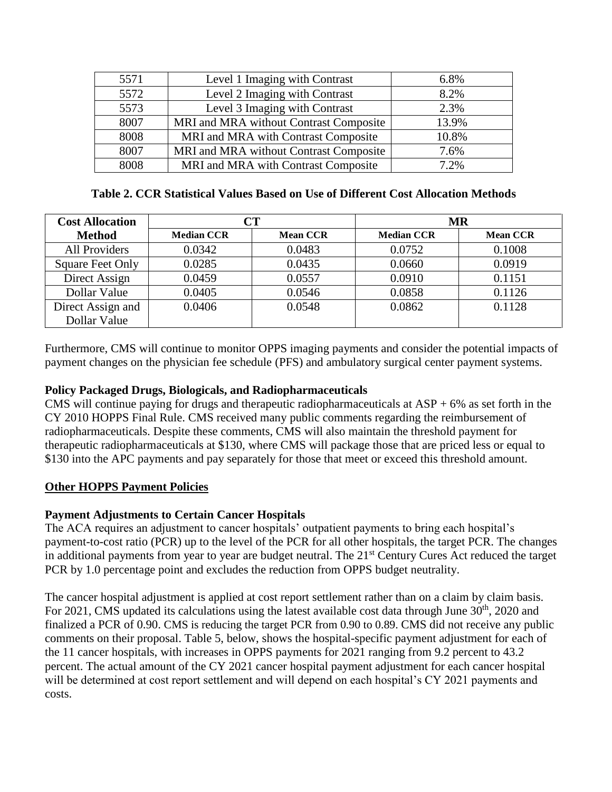| 5571 | Level 1 Imaging with Contrast          | 6.8%  |
|------|----------------------------------------|-------|
| 5572 | Level 2 Imaging with Contrast          | 8.2%  |
| 5573 | Level 3 Imaging with Contrast          | 2.3%  |
| 8007 | MRI and MRA without Contrast Composite | 13.9% |
| 8008 | MRI and MRA with Contrast Composite    | 10.8% |
| 8007 | MRI and MRA without Contrast Composite | 7.6%  |
| 8008 | MRI and MRA with Contrast Composite    | 7.2%  |

### **Table 2. CCR Statistical Values Based on Use of Different Cost Allocation Methods**

| <b>Cost Allocation</b>            | $\rm CT$          |                 |                   | <b>MR</b>       |  |
|-----------------------------------|-------------------|-----------------|-------------------|-----------------|--|
| <b>Method</b>                     | <b>Median CCR</b> | <b>Mean CCR</b> | <b>Median CCR</b> | <b>Mean CCR</b> |  |
| <b>All Providers</b>              | 0.0342            | 0.0483          | 0.0752            | 0.1008          |  |
| <b>Square Feet Only</b>           | 0.0285            | 0.0435          | 0.0660            | 0.0919          |  |
| Direct Assign                     | 0.0459            | 0.0557          | 0.0910            | 0.1151          |  |
| Dollar Value                      | 0.0405            | 0.0546          | 0.0858            | 0.1126          |  |
| Direct Assign and<br>Dollar Value | 0.0406            | 0.0548          | 0.0862            | 0.1128          |  |

Furthermore, CMS will continue to monitor OPPS imaging payments and consider the potential impacts of payment changes on the physician fee schedule (PFS) and ambulatory surgical center payment systems.

# **Policy Packaged Drugs, Biologicals, and Radiopharmaceuticals**

CMS will continue paying for drugs and therapeutic radiopharmaceuticals at  $\text{ASP} + 6\%$  as set forth in the CY 2010 HOPPS Final Rule. CMS received many public comments regarding the reimbursement of radiopharmaceuticals. Despite these comments, CMS will also maintain the threshold payment for therapeutic radiopharmaceuticals at \$130, where CMS will package those that are priced less or equal to \$130 into the APC payments and pay separately for those that meet or exceed this threshold amount.

# **Other HOPPS Payment Policies**

# **Payment Adjustments to Certain Cancer Hospitals**

The ACA requires an adjustment to cancer hospitals' outpatient payments to bring each hospital's payment-to-cost ratio (PCR) up to the level of the PCR for all other hospitals, the target PCR. The changes in additional payments from year to year are budget neutral. The 21<sup>st</sup> Century Cures Act reduced the target PCR by 1.0 percentage point and excludes the reduction from OPPS budget neutrality.

The cancer hospital adjustment is applied at cost report settlement rather than on a claim by claim basis. For 2021, CMS updated its calculations using the latest available cost data through June  $30<sup>th</sup>$ , 2020 and finalized a PCR of 0.90. CMS is reducing the target PCR from 0.90 to 0.89. CMS did not receive any public comments on their proposal. Table 5, below, shows the hospital-specific payment adjustment for each of the 11 cancer hospitals, with increases in OPPS payments for 2021 ranging from 9.2 percent to 43.2 percent. The actual amount of the CY 2021 cancer hospital payment adjustment for each cancer hospital will be determined at cost report settlement and will depend on each hospital's CY 2021 payments and costs.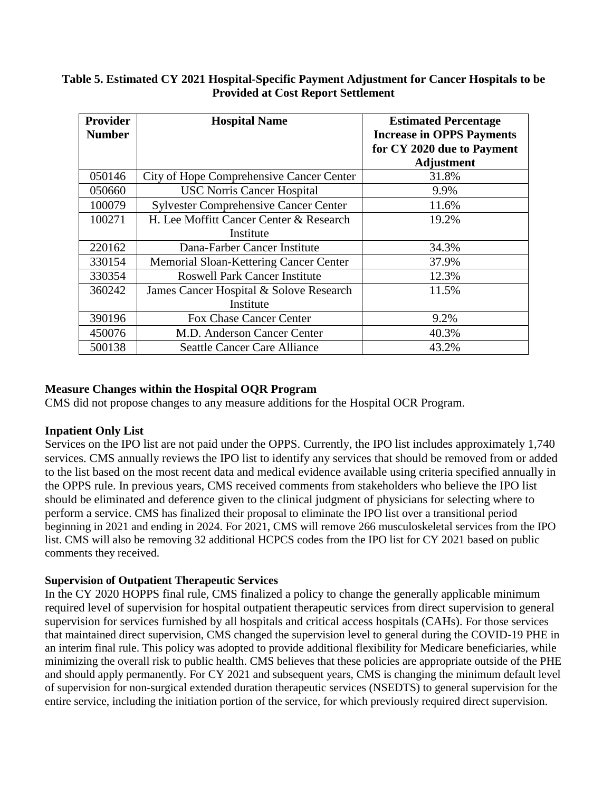#### **Table 5. Estimated CY 2021 Hospital-Specific Payment Adjustment for Cancer Hospitals to be Provided at Cost Report Settlement**

| <b>Provider</b> | <b>Hospital Name</b>                         | <b>Estimated Percentage</b>      |
|-----------------|----------------------------------------------|----------------------------------|
| <b>Number</b>   |                                              | <b>Increase in OPPS Payments</b> |
|                 |                                              | for CY 2020 due to Payment       |
|                 |                                              | <b>Adjustment</b>                |
| 050146          | City of Hope Comprehensive Cancer Center     | 31.8%                            |
| 050660          | <b>USC Norris Cancer Hospital</b>            | 9.9%                             |
| 100079          | <b>Sylvester Comprehensive Cancer Center</b> | 11.6%                            |
| 100271          | H. Lee Moffitt Cancer Center & Research      | 19.2%                            |
|                 | Institute                                    |                                  |
| 220162          | Dana-Farber Cancer Institute                 | 34.3%                            |
| 330154          | Memorial Sloan-Kettering Cancer Center       | 37.9%                            |
| 330354          | <b>Roswell Park Cancer Institute</b>         | 12.3%                            |
| 360242          | James Cancer Hospital & Solove Research      | 11.5%                            |
|                 | Institute                                    |                                  |
| 390196          | Fox Chase Cancer Center                      | 9.2%                             |
| 450076          | M.D. Anderson Cancer Center                  | 40.3%                            |
| 500138          | <b>Seattle Cancer Care Alliance</b>          | 43.2%                            |

### **Measure Changes within the Hospital OQR Program**

CMS did not propose changes to any measure additions for the Hospital OCR Program.

# **Inpatient Only List**

Services on the IPO list are not paid under the OPPS. Currently, the IPO list includes approximately 1,740 services. CMS annually reviews the IPO list to identify any services that should be removed from or added to the list based on the most recent data and medical evidence available using criteria specified annually in the OPPS rule. In previous years, CMS received comments from stakeholders who believe the IPO list should be eliminated and deference given to the clinical judgment of physicians for selecting where to perform a service. CMS has finalized their proposal to eliminate the IPO list over a transitional period beginning in 2021 and ending in 2024. For 2021, CMS will remove 266 musculoskeletal services from the IPO list. CMS will also be removing 32 additional HCPCS codes from the IPO list for CY 2021 based on public comments they received.

# **Supervision of Outpatient Therapeutic Services**

In the CY 2020 HOPPS final rule, CMS finalized a policy to change the generally applicable minimum required level of supervision for hospital outpatient therapeutic services from direct supervision to general supervision for services furnished by all hospitals and critical access hospitals (CAHs). For those services that maintained direct supervision, CMS changed the supervision level to general during the COVID-19 PHE in an interim final rule. This policy was adopted to provide additional flexibility for Medicare beneficiaries, while minimizing the overall risk to public health. CMS believes that these policies are appropriate outside of the PHE and should apply permanently. For CY 2021 and subsequent years, CMS is changing the minimum default level of supervision for non-surgical extended duration therapeutic services (NSEDTS) to general supervision for the entire service, including the initiation portion of the service, for which previously required direct supervision.